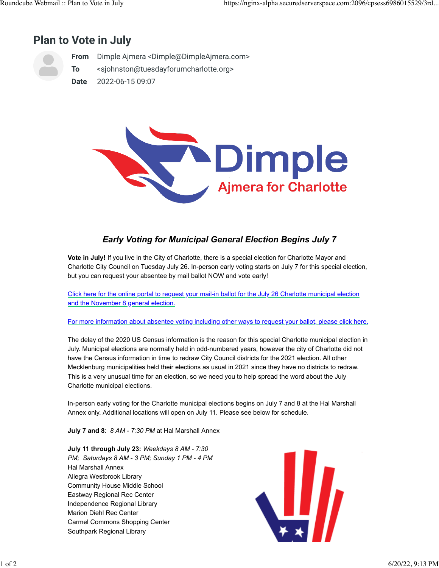## **Plan to Vote in July**



**From** Dimple Ajmera <Dimple@DimpleAjmera.com>

**To** <sjohnston@tuesdayforumcharlotte.org>

**Date** 2022-06-15 09:07



## *Early Voting for Municipal General Election Begins July 7*

**Vote in July!** If you live in the City of Charlotte, there is a special election for Charlotte Mayor and Charlotte City Council on Tuesday July 26. In-person early voting starts on July 7 for this special election, but you can request your absentee by mail ballot NOW and vote early!

[Click here for the online portal to request your mail-in ballot for the July 26 Charlotte municipal election](https://dimpleajmera.us20.list-manage.com/track/click?u=250016483ca323b09fb85d051&id=0c62c5bab9&e=1318c71dbc) [and the November 8 general election.](https://dimpleajmera.us20.list-manage.com/track/click?u=250016483ca323b09fb85d051&id=0c62c5bab9&e=1318c71dbc)

[For more information about absentee voting including other ways to request your ballot, please click here.](https://dimpleajmera.us20.list-manage.com/track/click?u=250016483ca323b09fb85d051&id=440d2f1899&e=1318c71dbc)

The delay of the 2020 US Census information is the reason for this special Charlotte municipal election in July. Municipal elections are normally held in odd-numbered years, however the city of Charlotte did not have the Census information in time to redraw City Council districts for the 2021 election. All other Mecklenburg municipalities held their elections as usual in 2021 since they have no districts to redraw. This is a very unusual time for an election, so we need you to help spread the word about the July Charlotte municipal elections.

In-person early voting for the Charlotte municipal elections begins on July 7 and 8 at the Hal Marshall Annex only. Additional locations will open on July 11. Please see below for schedule.

**July 7 and 8**: *8 AM - 7:30 PM* at Hal Marshall Annex

**July 11 through July 23:** *Weekdays 8 AM - 7:30 PM; Saturdays 8 AM - 3 PM; Sunday 1 PM - 4 PM* Hal Marshall Annex Allegra Westbrook Library Community House Middle School Eastway Regional Rec Center Independence Regional Library Marion Diehl Rec Center Carmel Commons Shopping Center Southpark Regional Library